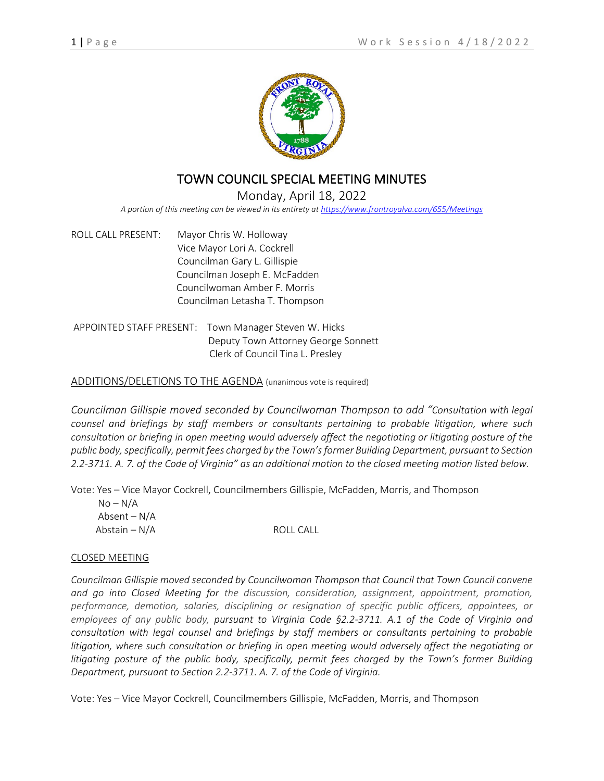

## TOWN COUNCIL SPECIAL MEETING MINUTES

## Monday, April 18, 2022 *A portion of this meeting can be viewed in its entirety a[t https://www.frontroyalva.com/655/Meetings](https://www.frontroyalva.com/655/Meetings)*

ROLL CALL PRESENT: Mayor Chris W. Holloway Vice Mayor Lori A. Cockrell Councilman Gary L. Gillispie Councilman Joseph E. McFadden Councilwoman Amber F. Morris Councilman Letasha T. Thompson

APPOINTED STAFF PRESENT: Town Manager Steven W. Hicks Deputy Town Attorney George Sonnett Clerk of Council Tina L. Presley

## ADDITIONS/DELETIONS TO THE AGENDA (unanimous vote is required)

*Councilman Gillispie moved seconded by Councilwoman Thompson to add "Consultation with legal counsel and briefings by staff members or consultants pertaining to probable litigation, where such consultation or briefing in open meeting would adversely affect the negotiating or litigating posture of the public body, specifically, permit fees charged by the Town's former Building Department, pursuant to Section 2.2-3711. A. 7. of the Code of Virginia" as an additional motion to the closed meeting motion listed below.*

Vote: Yes – Vice Mayor Cockrell, Councilmembers Gillispie, McFadden, Morris, and Thompson

| $No-N/A$        |           |
|-----------------|-----------|
| Absent – $N/A$  |           |
| Abstain $- N/A$ | ROLL CALL |

## CLOSED MEETING

*Councilman Gillispie moved seconded by Councilwoman Thompson that Council that Town Council convene and go into Closed Meeting for the discussion, consideration, assignment, appointment, promotion, performance, demotion, salaries, disciplining or resignation of specific public officers, appointees, or employees of any public body, pursuant to Virginia Code §2.2-3711. A.1 of the Code of Virginia and consultation with legal counsel and briefings by staff members or consultants pertaining to probable litigation, where such consultation or briefing in open meeting would adversely affect the negotiating or litigating posture of the public body, specifically, permit fees charged by the Town's former Building Department, pursuant to Section 2.2-3711. A. 7. of the Code of Virginia.*

Vote: Yes – Vice Mayor Cockrell, Councilmembers Gillispie, McFadden, Morris, and Thompson